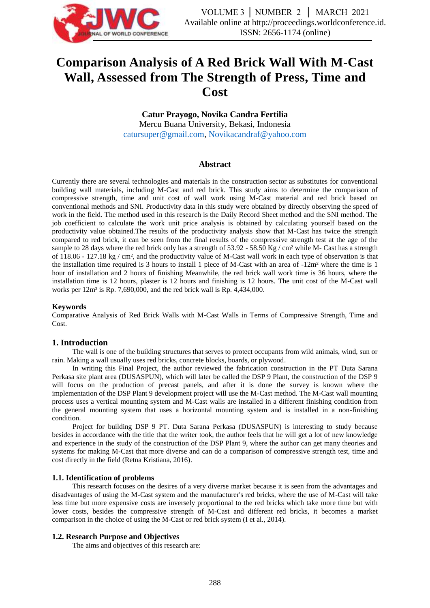

# **Comparison Analysis of A Red Brick Wall With M-Cast Wall, Assessed from The Strength of Press, Time and Cost**

**Catur Prayogo, Novika Candra Fertilia** Mercu Buana University, Bekasi, Indonesia [catursuper@gmail.com,](mailto:catursuper@gmail.com) [Novikacandraf@yahoo.com](mailto:Novikacandraf@yahoo.com)

#### **Abstract**

Currently there are several technologies and materials in the construction sector as substitutes for conventional building wall materials, including M-Cast and red brick. This study aims to determine the comparison of compressive strength, time and unit cost of wall work using M-Cast material and red brick based on conventional methods and SNI. Productivity data in this study were obtained by directly observing the speed of work in the field. The method used in this research is the Daily Record Sheet method and the SNI method. The job coefficient to calculate the work unit price analysis is obtained by calculating yourself based on the productivity value obtained.The results of the productivity analysis show that M-Cast has twice the strength compared to red brick, it can be seen from the final results of the compressive strength test at the age of the sample to 28 days where the red brick only has a strength of 53.92 - 58.50 Kg / cm² while M- Cast has a strength of 118.06 - 127.18 kg / cm², and the productivity value of M-Cast wall work in each type of observation is that the installation time required is 3 hours to install 1 piece of M-Cast with an area of -12m² where the time is 1 hour of installation and 2 hours of finishing Meanwhile, the red brick wall work time is 36 hours, where the installation time is 12 hours, plaster is 12 hours and finishing is 12 hours. The unit cost of the M-Cast wall works per 12m² is Rp. 7,690,000, and the red brick wall is Rp. 4,434,000.

#### **Keywords**

Comparative Analysis of Red Brick Walls with M-Cast Walls in Terms of Compressive Strength, Time and Cost.

#### **1. Introduction**

The wall is one of the building structures that serves to protect occupants from wild animals, wind, sun or rain. Making a wall usually uses red bricks, concrete blocks, boards, or plywood.

In writing this Final Project, the author reviewed the fabrication construction in the PT Duta Sarana Perkasa site plant area (DUSASPUN), which will later be called the DSP 9 Plant, the construction of the DSP 9 will focus on the production of precast panels, and after it is done the survey is known where the implementation of the DSP Plant 9 development project will use the M-Cast method. The M-Cast wall mounting process uses a vertical mounting system and M-Cast walls are installed in a different finishing condition from the general mounting system that uses a horizontal mounting system and is installed in a non-finishing condition.

Project for building DSP 9 PT. Duta Sarana Perkasa (DUSASPUN) is interesting to study because besides in accordance with the title that the writer took, the author feels that he will get a lot of new knowledge and experience in the study of the construction of the DSP Plant 9, where the author can get many theories and systems for making M-Cast that more diverse and can do a comparison of compressive strength test, time and cost directly in the field (Retna Kristiana, 2016).

#### **1.1. Identification of problems**

This research focuses on the desires of a very diverse market because it is seen from the advantages and disadvantages of using the M-Cast system and the manufacturer's red bricks, where the use of M-Cast will take less time but more expensive costs are inversely proportional to the red bricks which take more time but with lower costs, besides the compressive strength of M-Cast and different red bricks, it becomes a market comparison in the choice of using the M-Cast or red brick system (I et al., 2014).

#### **1.2. Research Purpose and Objectives**

The aims and objectives of this research are: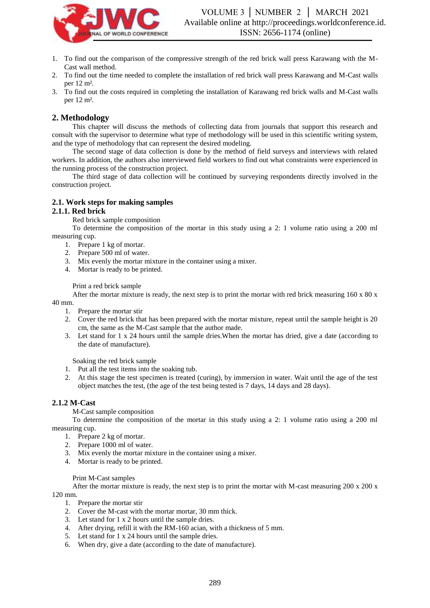

- 1. To find out the comparison of the compressive strength of the red brick wall press Karawang with the M-Cast wall method.
- 2. To find out the time needed to complete the installation of red brick wall press Karawang and M-Cast walls per 12 m².
- 3. To find out the costs required in completing the installation of Karawang red brick walls and M-Cast walls per 12 m².

## **2. Methodology**

This chapter will discuss the methods of collecting data from journals that support this research and consult with the supervisor to determine what type of methodology will be used in this scientific writing system, and the type of methodology that can represent the desired modeling.

The second stage of data collection is done by the method of field surveys and interviews with related workers. In addition, the authors also interviewed field workers to find out what constraints were experienced in the running process of the construction project.

The third stage of data collection will be continued by surveying respondents directly involved in the construction project.

## **2.1. Work steps for making samples**

#### **2.1.1. Red brick**

Red brick sample composition

To determine the composition of the mortar in this study using a 2: 1 volume ratio using a 200 ml measuring cup.

- 1. Prepare 1 kg of mortar.
- 2. Prepare 500 ml of water.
- 3. Mix evenly the mortar mixture in the container using a mixer.
- 4. Mortar is ready to be printed.

#### Print a red brick sample

After the mortar mixture is ready, the next step is to print the mortar with red brick measuring  $160 \times 80 \times$ 40 mm.

- 1. Prepare the mortar stir
- 2. Cover the red brick that has been prepared with the mortar mixture, repeat until the sample height is 20 cm, the same as the M-Cast sample that the author made.
- 3. Let stand for 1 x 24 hours until the sample dries.When the mortar has dried, give a date (according to the date of manufacture).

Soaking the red brick sample

- 1. Put all the test items into the soaking tub.
- 2. At this stage the test specimen is treated (curing), by immersion in water. Wait until the age of the test object matches the test, (the age of the test being tested is 7 days, 14 days and 28 days).

#### **2.1.2 M-Cast**

M-Cast sample composition

To determine the composition of the mortar in this study using a 2: 1 volume ratio using a 200 ml measuring cup.

- 1. Prepare 2 kg of mortar.
- 2. Prepare 1000 ml of water.
- 3. Mix evenly the mortar mixture in the container using a mixer.
- 4. Mortar is ready to be printed.

#### Print M-Cast samples

After the mortar mixture is ready, the next step is to print the mortar with M-cast measuring 200 x 200 x 120 mm.

- 1. Prepare the mortar stir
- 2. Cover the M-cast with the mortar mortar, 30 mm thick.
- 3. Let stand for 1 x 2 hours until the sample dries.
- 4. After drying, refill it with the RM-160 acian, with a thickness of 5 mm.
- 5. Let stand for 1 x 24 hours until the sample dries.
- 6. When dry, give a date (according to the date of manufacture).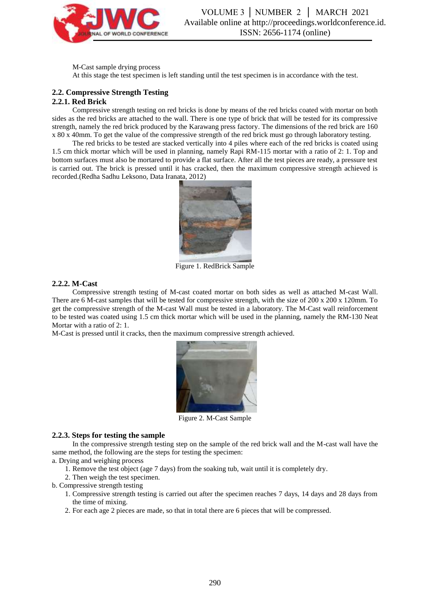

VOLUME 3 │ NUMBER 2 │ MARCH 2021 Available online at http://proceedings.worldconference.id. ISSN: 2656-1174 (online)

M-Cast sample drying process At this stage the test specimen is left standing until the test specimen is in accordance with the test.

#### **2.2. Compressive Strength Testing 2.2.1. Red Brick**

Compressive strength testing on red bricks is done by means of the red bricks coated with mortar on both sides as the red bricks are attached to the wall. There is one type of brick that will be tested for its compressive strength, namely the red brick produced by the Karawang press factory. The dimensions of the red brick are 160 x 80 x 40mm. To get the value of the compressive strength of the red brick must go through laboratory testing.

The red bricks to be tested are stacked vertically into 4 piles where each of the red bricks is coated using 1.5 cm thick mortar which will be used in planning, namely Rapi RM-115 mortar with a ratio of 2: 1. Top and bottom surfaces must also be mortared to provide a flat surface. After all the test pieces are ready, a pressure test is carried out. The brick is pressed until it has cracked, then the maximum compressive strength achieved is recorded.(Redha Sadhu Leksono, Data Iranata, 2012)



Figure 1. RedBrick Sample

#### **2.2.2. M-Cast**

Compressive strength testing of M-cast coated mortar on both sides as well as attached M-cast Wall. There are 6 M-cast samples that will be tested for compressive strength, with the size of 200 x 200 x 120mm. To get the compressive strength of the M-cast Wall must be tested in a laboratory. The M-Cast wall reinforcement to be tested was coated using 1.5 cm thick mortar which will be used in the planning, namely the RM-130 Neat Mortar with a ratio of 2: 1.

M-Cast is pressed until it cracks, then the maximum compressive strength achieved.



Figure 2. M-Cast Sample

#### **2.2.3. Steps for testing the sample**

In the compressive strength testing step on the sample of the red brick wall and the M-cast wall have the same method, the following are the steps for testing the specimen:

a. Drying and weighing process

- 1. Remove the test object (age 7 days) from the soaking tub, wait until it is completely dry.
- 2. Then weigh the test specimen.
- b. Compressive strength testing
	- 1. Compressive strength testing is carried out after the specimen reaches 7 days, 14 days and 28 days from the time of mixing.
	- 2. For each age 2 pieces are made, so that in total there are 6 pieces that will be compressed.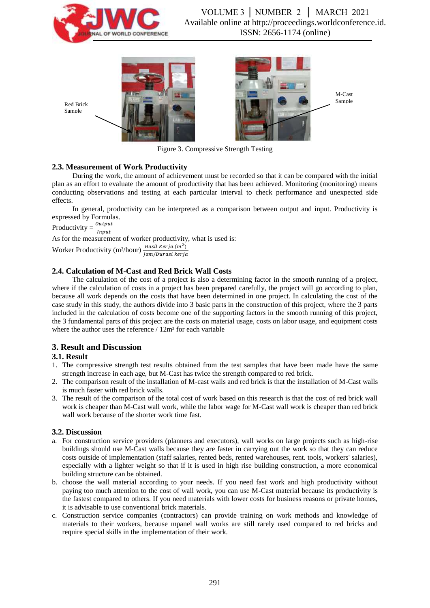





Figure 3. Compressive Strength Testing

## **2.3. Measurement of Work Productivity**

During the work, the amount of achievement must be recorded so that it can be compared with the initial plan as an effort to evaluate the amount of productivity that has been achieved. Monitoring (monitoring) means conducting observations and testing at each particular interval to check performance and unexpected side effects.

In general, productivity can be interpreted as a comparison between output and input. Productivity is expressed by Formulas.

Productivity  $=\frac{Output}{Input}$ 

Red Brick Sample

As for the measurement of worker productivity, what is used is:

Worker Productivity (m<sup>2</sup>/hour)  $\frac{Hasil Kerja(m^2)}{Jam/Durasi kerja}$ 

# **2.4. Calculation of M-Cast and Red Brick Wall Costs**

The calculation of the cost of a project is also a determining factor in the smooth running of a project, where if the calculation of costs in a project has been prepared carefully, the project will go according to plan, because all work depends on the costs that have been determined in one project. In calculating the cost of the case study in this study, the authors divide into 3 basic parts in the construction of this project, where the 3 parts included in the calculation of costs become one of the supporting factors in the smooth running of this project, the 3 fundamental parts of this project are the costs on material usage, costs on labor usage, and equipment costs where the author uses the reference /  $12m^2$  for each variable

# **3. Result and Discussion**

## **3.1. Result**

- 1. The compressive strength test results obtained from the test samples that have been made have the same strength increase in each age, but M-Cast has twice the strength compared to red brick.
- 2. The comparison result of the installation of M-cast walls and red brick is that the installation of M-Cast walls is much faster with red brick walls.
- 3. The result of the comparison of the total cost of work based on this research is that the cost of red brick wall work is cheaper than M-Cast wall work, while the labor wage for M-Cast wall work is cheaper than red brick wall work because of the shorter work time fast.

## **3.2. Discussion**

- a. For construction service providers (planners and executors), wall works on large projects such as high-rise buildings should use M-Cast walls because they are faster in carrying out the work so that they can reduce costs outside of implementation (staff salaries, rented beds, rented warehouses, rent. tools, workers' salaries), especially with a lighter weight so that if it is used in high rise building construction, a more economical building structure can be obtained.
- b. choose the wall material according to your needs. If you need fast work and high productivity without paying too much attention to the cost of wall work, you can use M-Cast material because its productivity is the fastest compared to others. If you need materials with lower costs for business reasons or private homes, it is advisable to use conventional brick materials.
- c. Construction service companies (contractors) can provide training on work methods and knowledge of materials to their workers, because mpanel wall works are still rarely used compared to red bricks and require special skills in the implementation of their work.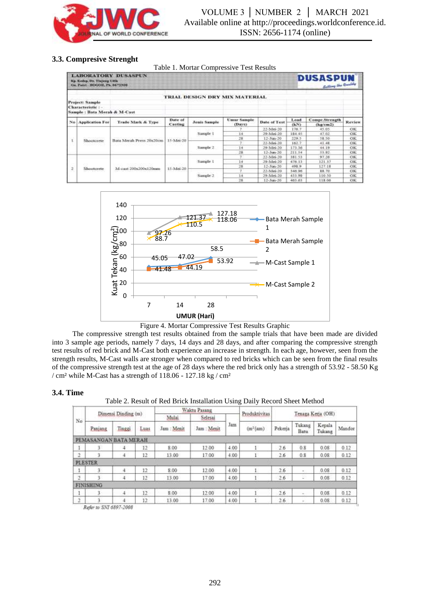

## **3.3. Compresive Strenght**

Table 1. Mortar Compressive Test Results

| <b>LABORATORY DUSASPUN</b><br>Kp. Kedep, Dr. Tixjung Udik.<br>On Patri, BOODE, Pk 8672308 |                                                                           |                          |                    |                      |                               |              |              | <b>DUSASPUN</b><br><b>Sutting the Quality</b> |           |  |  |
|-------------------------------------------------------------------------------------------|---------------------------------------------------------------------------|--------------------------|--------------------|----------------------|-------------------------------|--------------|--------------|-----------------------------------------------|-----------|--|--|
|                                                                                           |                                                                           |                          |                    |                      | TRIAL DESIGN DRY MIX MATERIAL |              |              |                                               |           |  |  |
|                                                                                           | <b>Project: Sample</b><br>Characteristic:-<br>Sample: Bata Merah & M-Cast |                          |                    |                      |                               |              |              |                                               |           |  |  |
|                                                                                           | No Application For                                                        | Trade Mark & Type        | Date of<br>Casting | Jenis Sample         | <b>Umur Sample</b><br>(Days)  | Date of Test | Load<br>(kN) | Compr.Strength<br>(kg/cm2)                    | Review    |  |  |
|                                                                                           |                                                                           | Bata Merah Press 20x20cm | 15-Mei-201         | Sample 1             |                               | 22-Mei-20    | 176.7        | 45.05                                         | OK.       |  |  |
|                                                                                           |                                                                           |                          |                    |                      | 14                            | 29-Mei-20    | 184.45       | 47.02                                         | OК        |  |  |
|                                                                                           | Shootcrete                                                                |                          |                    |                      | 28                            | 12-Jun-20    | 229.5        | 58.50                                         | OK.       |  |  |
|                                                                                           |                                                                           |                          |                    | Sample 2<br>14<br>28 |                               | 22-Mei-20    | 162.7        | 41.48                                         | ОК        |  |  |
|                                                                                           |                                                                           |                          |                    |                      |                               | 79-Mei-201   | 173.36       | 44.19                                         | OK.       |  |  |
|                                                                                           |                                                                           |                          |                    |                      |                               | 12-Jun-20    | 211.54       | 53.92                                         | OK        |  |  |
|                                                                                           |                                                                           |                          |                    |                      |                               | 22-Mei-20    | 381.53       | 97.26                                         | OK        |  |  |
|                                                                                           |                                                                           |                          |                    | Sample 1             | 14                            | 29-Mei-20    | 476.13       | 121.37                                        | OE        |  |  |
| 2                                                                                         | Shootcrete                                                                | M-cast 200x200x120mm     | 15-Mei-20          |                      | 28                            | 12-Jun-20    | 498.9        | 127.18                                        | OK        |  |  |
|                                                                                           |                                                                           |                          |                    | Sample 2             |                               | 22-Mai-20    | 146.96       | 88.70                                         | OK        |  |  |
|                                                                                           |                                                                           |                          |                    |                      | 14                            | 29-Mei-20    | 433.98       | 110.50                                        | OK        |  |  |
|                                                                                           |                                                                           |                          |                    |                      | 28                            | 12-Jun-20    | 463.61       | 118.00                                        | <b>OK</b> |  |  |





The compressive strength test results obtained from the sample trials that have been made are divided into 3 sample age periods, namely 7 days, 14 days and 28 days, and after comparing the compressive strength test results of red brick and M-Cast both experience an increase in strength. In each age, however, seen from the strength results, M-Cast walls are stronger when compared to red bricks which can be seen from the final results of the compressive strength test at the age of 28 days where the red brick only has a strength of 53.92 - 58.50 Kg / cm<sup>2</sup> while M-Cast has a strength of 118.06 - 127.18 kg / cm<sup>2</sup>

#### **3.4. Time**

Table 2. Result of Red Brick Installation Using Daily Record Sheet Method

|                |                       |        |      |             | Waktu Pasang | Produktivitas |                       |                   |                |                  |        |
|----------------|-----------------------|--------|------|-------------|--------------|---------------|-----------------------|-------------------|----------------|------------------|--------|
| No             | Dimensi Dinding (m)   |        |      | Mulai       | Selesai      |               |                       | Tenaga Kerja (OH) |                |                  |        |
|                | Panjang               | Tinggi | Luas | Jam : Menit | Jam : Menit  | Jam           | (m <sup>2</sup> /jam) | Pekerja           | Tukang<br>Batu | Kepala<br>Tukang | Mandor |
|                | PEMASANGAN BATA MERAH |        |      |             |              |               |                       |                   |                |                  |        |
|                |                       | 4      | 12   | 8.00        | 12.00        | 4.00          |                       | 2.6               | 0.8            | 0.08             | 0.12   |
| $\mathbf{2}$   | 3                     | 4      | 12   | 13.00       | 17.00        | 4.00          |                       | 2.6               | 0.8            | 0.08             | 0.12   |
|                | <b>PLESTER</b>        |        |      |             |              |               |                       |                   |                |                  |        |
|                |                       |        | 12   | 8.00        | 12.00        | 4.00          |                       | 26                | $\sim$         | 0.08             | 0.12   |
| $\overline{2}$ |                       |        | 12   | 13.00       | 17.00        | 4.00          |                       | 2.6               | g.             | 0.08             | 0.12   |
|                | <b>FINISHING</b>      |        |      |             |              |               |                       |                   |                |                  |        |
|                | 4.                    |        | 12   | 8.00        | 12.00        | 4.00          |                       | 2.6               |                | 0.08             | 0.12   |
| $\tilde{c}$    |                       |        | 12   | 13.00       | 17.00        | 4.00          |                       | 26                | ۰              | 0.08             | 0.12   |

?efer to SNI 6897-2008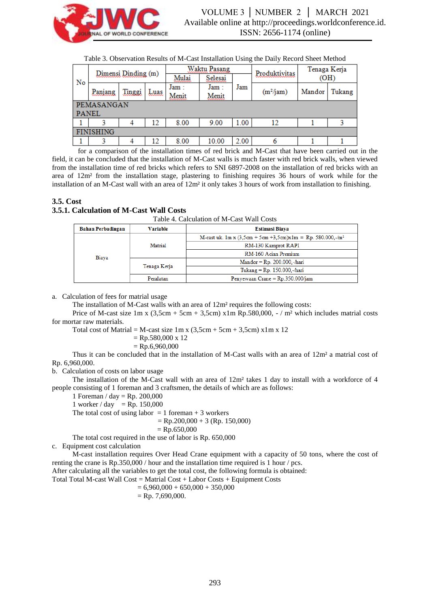

| Table 3. Observation Results of M-Cast Installation Using the Daily Record Sheet Method |  |
|-----------------------------------------------------------------------------------------|--|
|-----------------------------------------------------------------------------------------|--|

|                  | Dimensi Dinding (m) |                |      | Waktu Pasang |         |      | Produktivitas | Tenaga Kerja |        |  |  |
|------------------|---------------------|----------------|------|--------------|---------|------|---------------|--------------|--------|--|--|
| No               |                     |                |      | Mulai        | Selesai |      |               | (OH)         |        |  |  |
|                  |                     | <u> Linggi</u> | Luas | Jam :        | Jam :   | Jam  | $(m^2/jam)$   | Mandor       | Tukang |  |  |
|                  | Panjang             |                |      | Menit        | Menit   |      |               |              |        |  |  |
|                  | PEMASANGAN          |                |      |              |         |      |               |              |        |  |  |
|                  | <b>PANEL</b>        |                |      |              |         |      |               |              |        |  |  |
|                  |                     |                | 12   | 8.00         | 9.00    | 1.00 | 12            |              |        |  |  |
| <b>FINISHING</b> |                     |                |      |              |         |      |               |              |        |  |  |
|                  |                     |                | 12   | 8.00         | 10.00   | 2.00 |               |              |        |  |  |

for a comparison of the installation times of red brick and M-Cast that have been carried out in the field, it can be concluded that the installation of M-Cast walls is much faster with red brick walls, when viewed from the installation time of red bricks which refers to SNI 6897-2008 on the installation of red bricks with an area of 12m² from the installation stage, plastering to finishing requires 36 hours of work while for the installation of an M-Cast wall with an area of 12m² it only takes 3 hours of work from installation to finishing.

### **3.5. Cost**

#### **3.5.1. Calculation of M-Cast Wall Costs**

Table 4. Calculation of M-Cast Wall Costs

| <b>Bahan Perbadingan</b> | <b>Variable</b> | <b>Estimasi Biava</b>                                         |  |  |  |
|--------------------------|-----------------|---------------------------------------------------------------|--|--|--|
|                          |                 | M-cast uk. 1m x $(3,5cm + 5cm + 3,5cm)x1m = Rp. 580.000,-/m2$ |  |  |  |
|                          | Matrial         | RM-130 Kamprot RAPI                                           |  |  |  |
| Biava                    |                 | RM-160 Acian Premium                                          |  |  |  |
|                          |                 | $Mandor = Rp. 200.000, -hair$                                 |  |  |  |
|                          | Tenaga Kerja    | Tukang = $Rp. 150.000,-/hari$                                 |  |  |  |
|                          | Peralatan       | Penyewaan Crane = $Rp.350.000/jam$                            |  |  |  |

a. Calculation of fees for matrial usage

The installation of M-Cast walls with an area of 12m² requires the following costs:

Price of M-cast size  $1m \times (3,5cm + 5cm + 3,5cm) \times 1m$  Rp.580,000, - / m<sup>2</sup> which includes matrial costs for mortar raw materials.

Total cost of Matrial = M-cast size  $1m \times (3,5cm + 5cm + 3,5cm) \times 1m \times 12$ 

 $=$  Rp.580,000 x 12

 $=$  Rp.6,960,000

Thus it can be concluded that in the installation of M-Cast walls with an area of 12m² a matrial cost of Rp. 6,960,000.

b. Calculation of costs on labor usage

The installation of the M-Cast wall with an area of 12m² takes 1 day to install with a workforce of 4 people consisting of 1 foreman and 3 craftsmen, the details of which are as follows:

1 Foreman / day = Rp. 200,000

1 worker / day = Rp.  $150,000$ 

The total cost of using labor  $= 1$  foreman + 3 workers

 $=$  Rp.200,000 + 3 (Rp. 150,000)

 $=$  Rp.650,000

The total cost required in the use of labor is Rp. 650,000

c. Equipment cost calculation

M-cast installation requires Over Head Crane equipment with a capacity of 50 tons, where the cost of renting the crane is Rp.350,000 / hour and the installation time required is 1 hour / pcs.

After calculating all the variables to get the total cost, the following formula is obtained:

Total Total M-cast Wall Cost = Matrial Cost + Labor Costs + Equipment Costs

 $= 6,960,000 + 650,000 + 350,000$ 

 $=$  Rp. 7.690,000.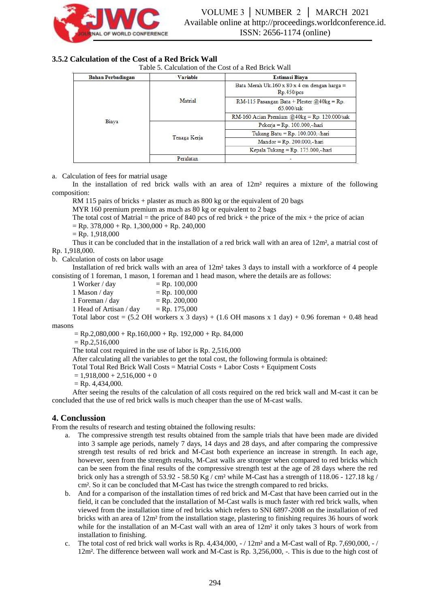

## **3.5.2 Calculation of the Cost of a Red Brick Wall**

Table 5. Calculation of the Cost of a Red Brick Wall

| <b>Bahan Perbadingan</b> | <b>Variable</b> | <b>Estimasi Biava</b>                                        |  |  |  |
|--------------------------|-----------------|--------------------------------------------------------------|--|--|--|
|                          |                 | Bata Merah Uk.160 x 80 x 4 cm dengan harga $=$<br>Rp.450/pcs |  |  |  |
|                          | Matrial         | RM-115 Pasangan Bata + Plester $@40kg = Rp$ .<br>65.000/sak  |  |  |  |
|                          |                 | RM-160 Acian Premium $@40kg = Rp. 120.000/sak$               |  |  |  |
| Biaya                    |                 | Pekerja = $Rp. 100.000,-/hari$                               |  |  |  |
|                          | Tenaga Kerja    | Tukang Batu = $Rp. 100.000$ ,-/hari                          |  |  |  |
|                          |                 | $Mandor = Rp. 200.000,-/hari$                                |  |  |  |
|                          |                 | Kepala Tukang = $Rp. 175.000,-/hari$                         |  |  |  |
|                          | Peralatan       |                                                              |  |  |  |

a. Calculation of fees for matrial usage

In the installation of red brick walls with an area of  $12m<sup>2</sup>$  requires a mixture of the following composition:

RM 115 pairs of bricks + plaster as much as 800 kg or the equivalent of 20 bags

MYR 160 premium premium as much as 80 kg or equivalent to 2 bags

The total cost of Matrial  $=$  the price of 840 pcs of red brick  $+$  the price of the mix  $+$  the price of acian

 $=$  Rp. 378,000 + Rp. 1,300,000 + Rp. 240,000

 $=$  Rp. 1,918,000

Thus it can be concluded that in the installation of a red brick wall with an area of 12m², a matrial cost of Rp. 1,918,000.

b. Calculation of costs on labor usage

Installation of red brick walls with an area of 12m² takes 3 days to install with a workforce of 4 people consisting of 1 foreman, 1 mason, 1 foreman and 1 head mason, where the details are as follows:

1 Worker / day  $=$  Rp. 100,000  $1$  Mason / day  $=$  Rp. 100,000 1 Foreman / day  $=$  Rp. 200,000 1 Head of Artisan / day  $=$  Rp. 175,000

Total labor cost =  $(5.2 \text{ OH}$  workers x 3 days) +  $(1.6 \text{ OH}$  masons x 1 day) + 0.96 foreman + 0.48 head masons

 $=$  Rp.2,080,000 + Rp.160,000 + Rp. 192,000 + Rp. 84,000

 $=$  Rp.2,516,000

The total cost required in the use of labor is Rp. 2,516,000

After calculating all the variables to get the total cost, the following formula is obtained:

Total Total Red Brick Wall Costs = Matrial Costs + Labor Costs + Equipment Costs

 $= 1,918,000 + 2,516,000 + 0$ 

 $=$  Rp. 4.434,000.

After seeing the results of the calculation of all costs required on the red brick wall and M-cast it can be concluded that the use of red brick walls is much cheaper than the use of M-cast walls.

## **4. Conclussion**

From the results of research and testing obtained the following results:

- a. The compressive strength test results obtained from the sample trials that have been made are divided into 3 sample age periods, namely 7 days, 14 days and 28 days, and after comparing the compressive strength test results of red brick and M-Cast both experience an increase in strength. In each age, however, seen from the strength results, M-Cast walls are stronger when compared to red bricks which can be seen from the final results of the compressive strength test at the age of 28 days where the red brick only has a strength of 53.92 - 58.50 Kg / cm² while M-Cast has a strength of 118.06 - 127.18 kg / cm². So it can be concluded that M-Cast has twice the strength compared to red bricks.
- b. And for a comparison of the installation times of red brick and M-Cast that have been carried out in the field, it can be concluded that the installation of M-Cast walls is much faster with red brick walls, when viewed from the installation time of red bricks which refers to SNI 6897-2008 on the installation of red bricks with an area of 12m² from the installation stage, plastering to finishing requires 36 hours of work while for the installation of an M-Cast wall with an area of  $12m^2$  it only takes 3 hours of work from installation to finishing.
- c. The total cost of red brick wall works is Rp. 4,434,000,  $-/12m^2$  and a M-Cast wall of Rp. 7,690,000,  $-/$ 12m². The difference between wall work and M-Cast is Rp. 3,256,000, -. This is due to the high cost of